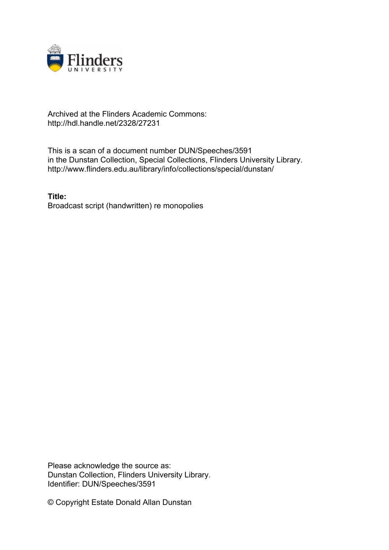

## Archived at the Flinders Academic Commons: http://hdl.handle.net/2328/27231

This is a scan of a document number DUN/Speeches/3591 in the Dunstan Collection, Special Collections, Flinders University Library. http://www.flinders.edu.au/library/info/collections/special/dunstan/

**Title:** Broadcast script (handwritten) re monopolies

Please acknowledge the source as: Dunstan Collection, Flinders University Library. Identifier: DUN/Speeches/3591

© Copyright Estate Donald Allan Dunstan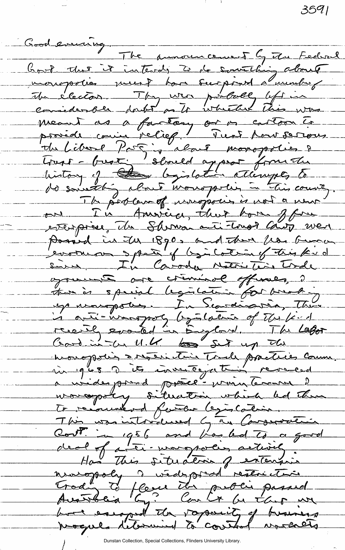3591

Good evening. The announcement by the Federal hout that it intends to do something about monopolies ment ban surprint a minhor Me élector . They were publicle left in meant as a factory or or cartoon to provéde comin relief! Pust pour serious the Libert Par ; about monopolies de de soustlig about monoportin in this court The portland, noropolis is not a new on In Amsieu, that hom ffin possed in The 1890, and There from Grano cooker spar of bjiloting this kid sines, In Caroda Notri Tirde opposent are criminal officiels, 2 up nongoties. In Scardinavia, There is onti-increasing by the count of the find recently evanted in England. The Lafor<br>Good in U.K Loss Set up Ile Comment a widesport protection which he than To recounterd farter legislation. This was into dued by an Conservation Cost in 1956 and Looked to a good deal of a tri-morgratis activity. nuropoly a wedepsed restriction Trade to flere the proci passed<br>Australia by: Contr be there we

Dunstan Collection, Special Collections, Flinders University Library.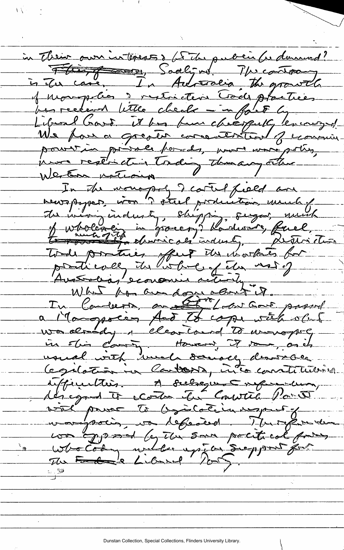in Their own interess s to the public for during? Flint Soaligns. Micatray is the case, In Advisera the growth of monopolion de restriction Trode plactices Libral Card. Vitte check - in ført Guerrauge! powrzie prisale ford, pour wore poly, Werten notions In the wonopoly I cantel field are bewepoper won ? stul production, much of Tode portues offers the mortales for protievely the bobby the most of  $\searrow$ Austrolias economic activity. What for andone court it. In Carberto, and Eric Local Gour papard a Mangocen Act to cope with other  $-7$  -  $-28$  and  $-6$ in obin commentancement it rom, as it ith well denocy demoche infinition. A subsque represent. with power to byintation aspect of vouspoien, va régaired. Murgeon de was gypood by the same political forms Who Cody will up in Support for  $\mathcal{P}$ " उ